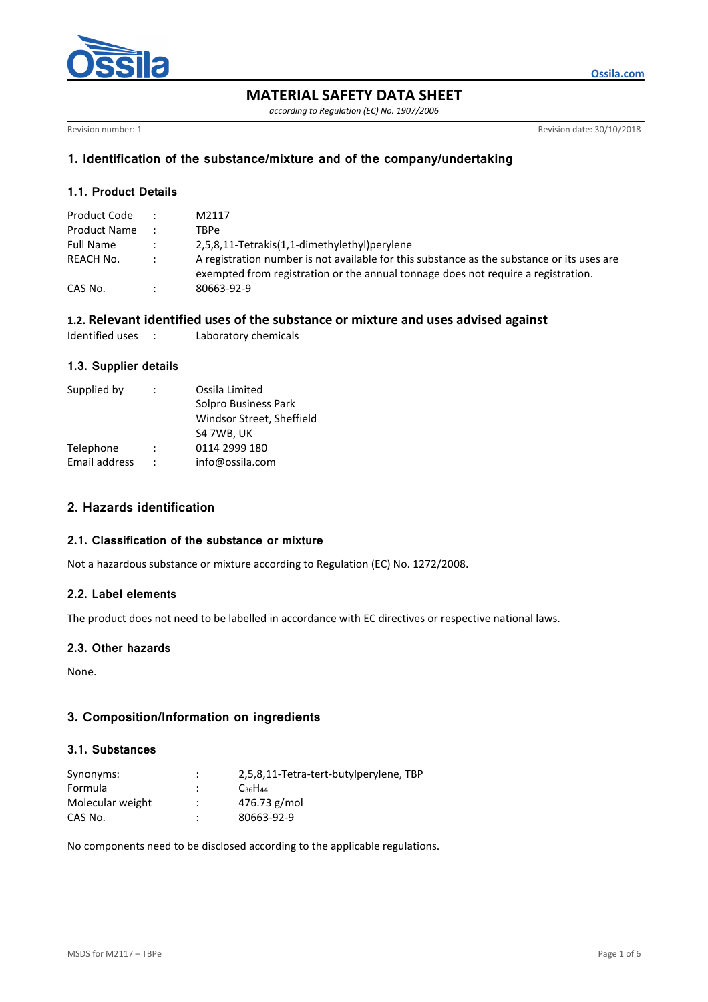

**MATERIAL SAFETY DATA SHEET** 

*according to Regulation (EC) No. 1907/2006* 

Revision number: 1 Revision date: 30/10/2018

**Ossila.com**

# **1. Identification of the substance/mixture and of the company/undertaking**

# **1.1. Product Details**

| Product Code        | M2117                                                                                                                                                                           |
|---------------------|---------------------------------------------------------------------------------------------------------------------------------------------------------------------------------|
| <b>Product Name</b> | TBPe                                                                                                                                                                            |
| Full Name           | 2,5,8,11-Tetrakis(1,1-dimethylethyl)perylene                                                                                                                                    |
| REACH No.           | A registration number is not available for this substance as the substance or its uses are<br>exempted from registration or the annual tonnage does not require a registration. |
| CAS No.             | 80663-92-9                                                                                                                                                                      |

### **1.2. Relevant identified uses of the substance or mixture and uses advised against**

| Identified uses<br>Laboratory chemicals |
|-----------------------------------------|
|-----------------------------------------|

# **1.3. Supplier details**

| Supplied by   | ÷                    | Ossila Limited<br>Solpro Business Park<br>Windsor Street, Sheffield<br>S4 7WB, UK |
|---------------|----------------------|-----------------------------------------------------------------------------------|
| Telephone     | $\ddot{\phantom{0}}$ | 0114 2999 180                                                                     |
| Email address | $\ddot{\phantom{0}}$ | info@ossila.com                                                                   |

# **2. Hazards identification**

# **2.1. Classification of the substance or mixture**

Not a hazardous substance or mixture according to Regulation (EC) No. 1272/2008.

# **2.2. Label elements**

The product does not need to be labelled in accordance with EC directives or respective national laws.

## **2.3. Other hazards**

None.

## **3. Composition/Information on ingredients**

# **3.1. Substances**

| Synonyms:        | $\cdot$ | 2,5,8,11-Tetra-tert-butylperylene, TBP |
|------------------|---------|----------------------------------------|
| Formula          |         | $C_{36}H_{44}$                         |
| Molecular weight |         | 476.73 g/mol                           |
| CAS No.          |         | 80663-92-9                             |

No components need to be disclosed according to the applicable regulations.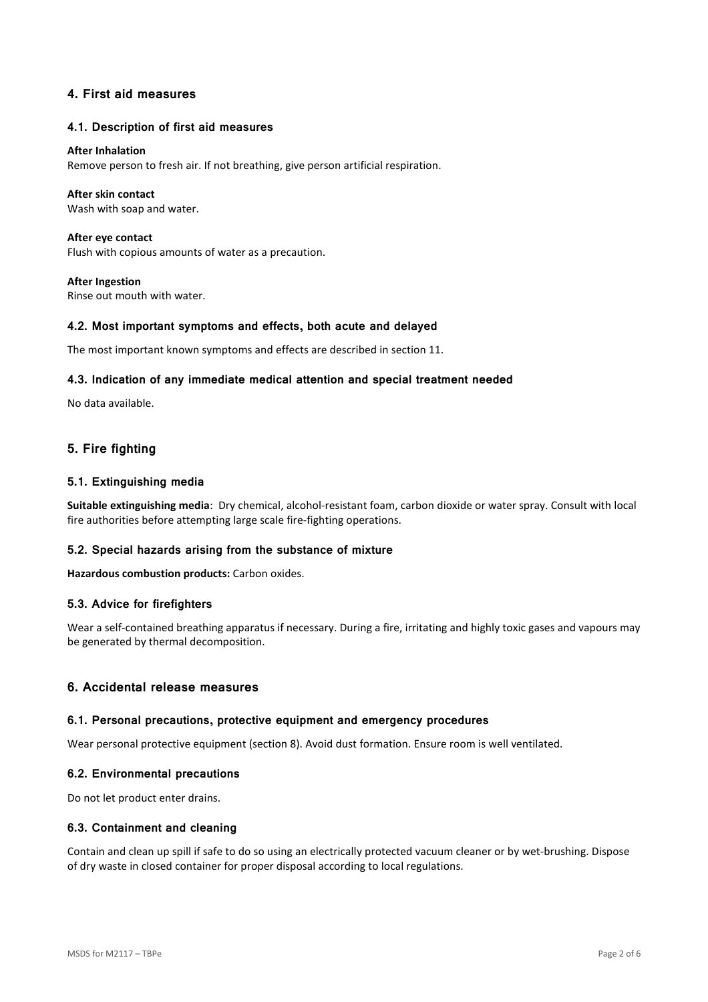# **4. First aid measures**

### **4.1. Description of first aid measures**

#### **After Inhalation**

Remove person to fresh air. If not breathing, give person artificial respiration.

### **After skin contact**

Wash with soap and water.

**After eye contact**  Flush with copious amounts of water as a precaution.

**After Ingestion**  Rinse out mouth with water.

### **4.2. Most important symptoms and effects, both acute and delayed**

The most important known symptoms and effects are described in section 11.

### **4.3. Indication of any immediate medical attention and special treatment needed**

No data available.

# **5. Fire fighting**

### **5.1. Extinguishing media**

**Suitable extinguishing media**: Dry chemical, alcohol-resistant foam, carbon dioxide or water spray. Consult with local fire authorities before attempting large scale fire-fighting operations.

### **5.2. Special hazards arising from the substance of mixture**

**Hazardous combustion products:** Carbon oxides.

#### **5.3. Advice for firefighters**

Wear a self-contained breathing apparatus if necessary. During a fire, irritating and highly toxic gases and vapours may be generated by thermal decomposition.

## **6. Accidental release measures**

#### **6.1. Personal precautions, protective equipment and emergency procedures**

Wear personal protective equipment (section 8). Avoid dust formation. Ensure room is well ventilated.

#### **6.2. Environmental precautions**

Do not let product enter drains.

#### **6.3. Containment and cleaning**

Contain and clean up spill if safe to do so using an electrically protected vacuum cleaner or by wet-brushing. Dispose of dry waste in closed container for proper disposal according to local regulations.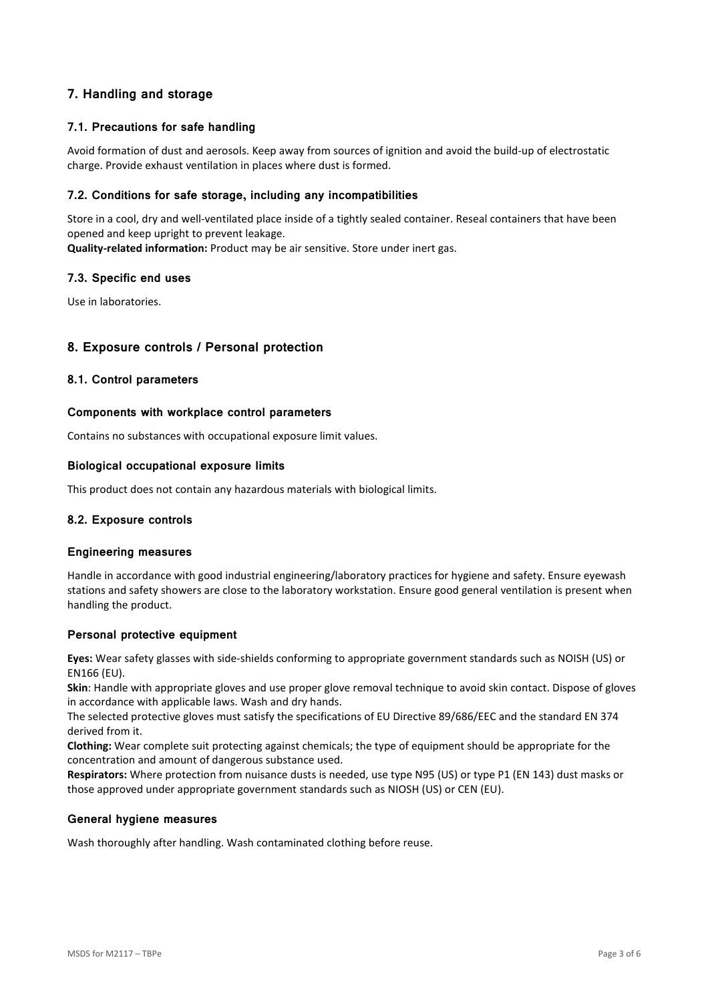# **7. Handling and storage**

## **7.1. Precautions for safe handling**

Avoid formation of dust and aerosols. Keep away from sources of ignition and avoid the build-up of electrostatic charge. Provide exhaust ventilation in places where dust is formed.

## **7.2. Conditions for safe storage, including any incompatibilities**

Store in a cool, dry and well-ventilated place inside of a tightly sealed container. Reseal containers that have been opened and keep upright to prevent leakage. **Quality-related information:** Product may be air sensitive. Store under inert gas.

**7.3. Specific end uses** 

Use in laboratories.

# **8. Exposure controls / Personal protection**

### **8.1. Control parameters**

### **Components with workplace control parameters**

Contains no substances with occupational exposure limit values.

### **Biological occupational exposure limits**

This product does not contain any hazardous materials with biological limits.

### **8.2. Exposure controls**

### **Engineering measures**

Handle in accordance with good industrial engineering/laboratory practices for hygiene and safety. Ensure eyewash stations and safety showers are close to the laboratory workstation. Ensure good general ventilation is present when handling the product.

### **Personal protective equipment**

**Eyes:** Wear safety glasses with side-shields conforming to appropriate government standards such as NO:SH (US) or EN166 (EU).

**Skin**: Handle with appropriate gloves and use proper glove removal technique to avoid skin contact. Dispose of gloves in accordance with applicable laws. Wash and dry hands.

The selected protective gloves must satisfy the specifications of EU Directive 89/686/EEC and the standard EN 374 derived from it.

**Clothing:** Wear complete suit protecting against chemicals; the type of equipment should be appropriate for the concentration and amount of dangerous substance used.

**Respirators:** Where protection from nuisance dusts is needed, use type N95 (US) or type P1 (EN 143) dust masks or those approved under appropriate government standards such as NIOSH (US) or CEN (EU).

#### **General hygiene measures**

Wash thoroughly after handling. Wash contaminated clothing before reuse.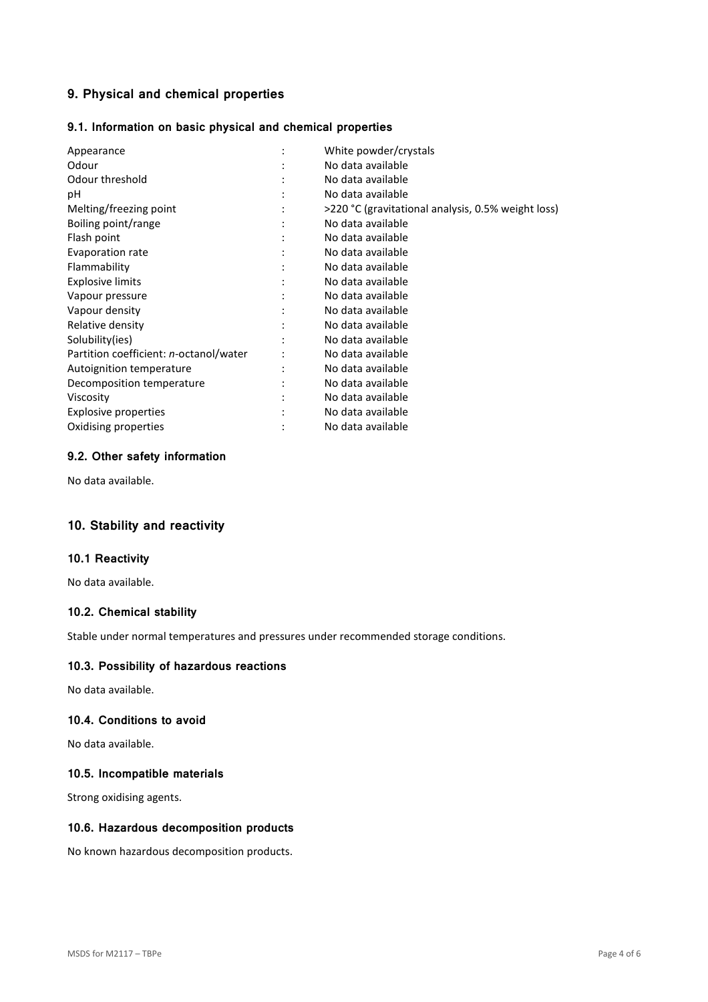# **9. Physical and chemical properties**

# **9.1. Information on basic physical and chemical properties**

| Appearance                                     |   | White powder/crystals                              |
|------------------------------------------------|---|----------------------------------------------------|
| Odour                                          |   | No data available                                  |
| Odour threshold                                |   | No data available                                  |
| рH                                             |   | No data available                                  |
| Melting/freezing point                         |   | >220 °C (gravitational analysis, 0.5% weight loss) |
| Boiling point/range                            |   | No data available                                  |
| Flash point                                    | ٠ | No data available                                  |
| Evaporation rate                               |   | No data available                                  |
| Flammability                                   |   | No data available                                  |
| <b>Explosive limits</b>                        |   | No data available                                  |
| Vapour pressure                                |   | No data available                                  |
| Vapour density                                 |   | No data available                                  |
| Relative density                               |   | No data available                                  |
| Solubility(ies)                                |   | No data available                                  |
| Partition coefficient: <i>n</i> -octanol/water |   | No data available                                  |
| Autoignition temperature                       |   | No data available                                  |
| Decomposition temperature                      |   | No data available                                  |
| Viscosity                                      |   | No data available                                  |
| Explosive properties                           |   | No data available                                  |
| Oxidising properties                           |   | No data available                                  |

# **9.2. Other safety information**

No data available.

# **10. Stability and reactivity**

### **10.1 Reactivity**

No data available.

# **10.2. Chemical stability**

Stable under normal temperatures and pressures under recommended storage conditions.

# **10.3. Possibility of hazardous reactions**

No data available.

### **10.4. Conditions to avoid**

No data available.

# **10.5. Incompatible materials**

Strong oxidising agents.

# **10.6. Hazardous decomposition products**

No known hazardous decomposition products.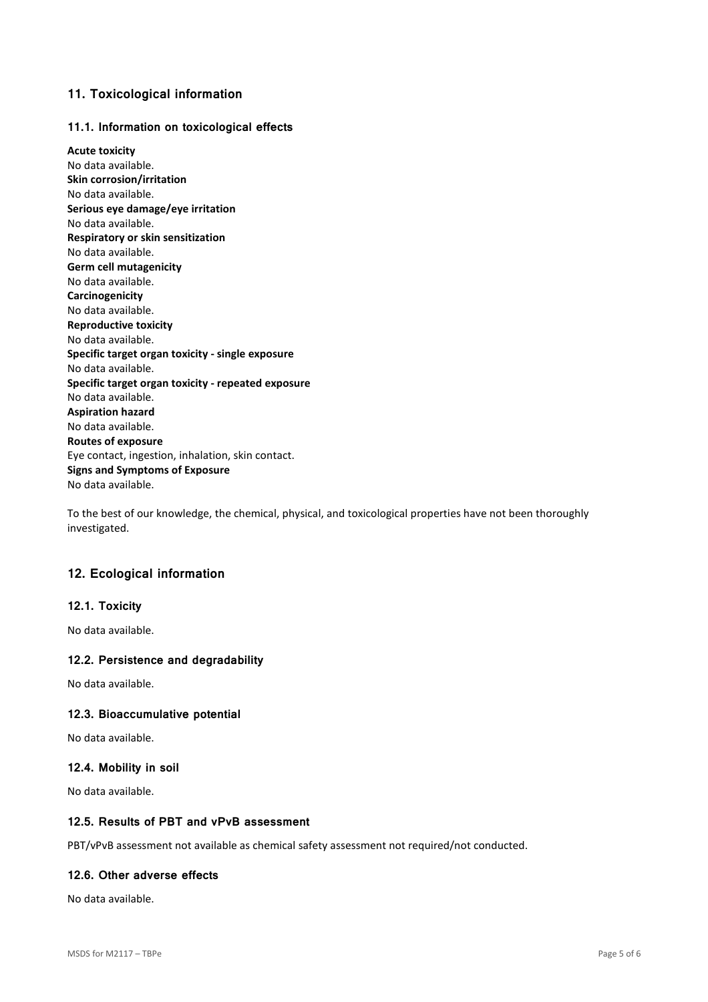# **11. Toxicological information**

## **11.1. Information on toxicological effects**

**Acute toxicity**  No data available. **Skin corrosion/irritation**  No data available. **Serious eye damage/eye irritation**  No data available. **Respiratory or skin sensitization**  No data available. **Germ cell mutagenicity**  No data available. **Carcinogenicity**  No data available. **Reproductive toxicity**  No data available. **Specific target organ toxicity - single exposure**  No data available. **Specific target organ toxicity - repeated exposure**  No data available. **Aspiration hazard**  No data available. **Routes of exposure**  Eye contact, ingestion, inhalation, skin contact. **Signs and Symptoms of Exposure**  No data available.

To the best of our knowledge, the chemical, physical, and toxicological properties have not been thoroughly investigated.

# **12. Ecological information**

### **12.1. Toxicity**

No data available.

### **12.2. Persistence and degradability**

No data available.

### **12.3. Bioaccumulative potential**

No data available.

### **12.4. Mobility in soil**

No data available.

### **12.5. Results of PBT and vPvB assessment**

PBT/vPvB assessment not available as chemical safety assessment not required/not conducted.

### **12.6. Other adverse effects**

No data available.